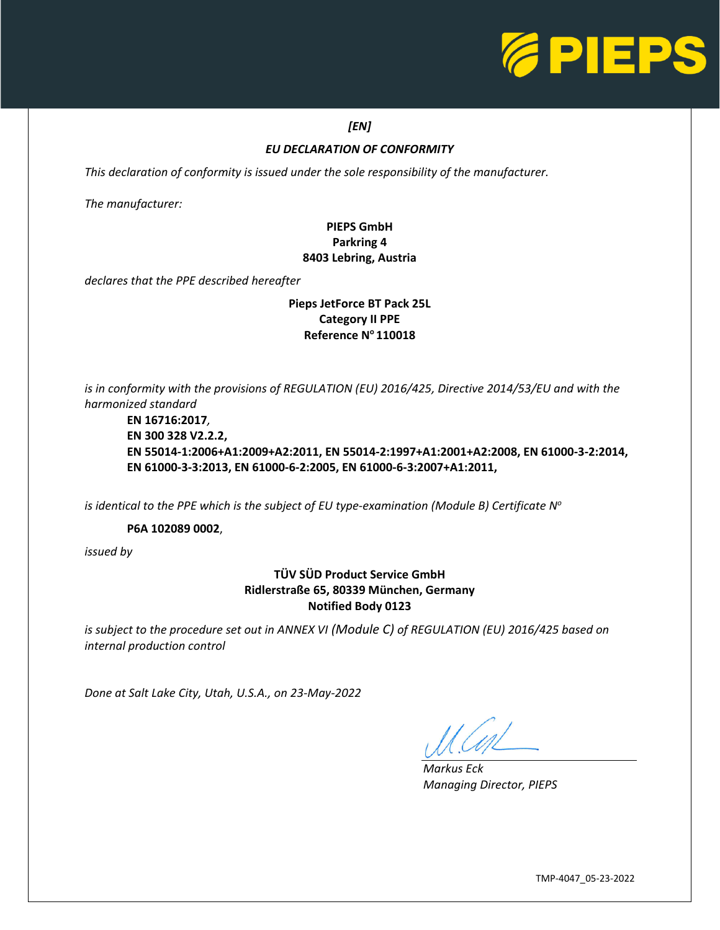

### *[EN]*

### *EU DECLARATION OF CONFORMITY*

*This declaration of conformity is issued under the sole responsibility of the manufacturer.* 

*The manufacturer:*

## **PIEPS GmbH Parkring 4 8403 Lebring, Austria**

*declares that the PPE described hereafter*

### **Pieps JetForce BT Pack 25L Category II PPE Reference N<sup>o</sup>110018**

*is in conformity with the provisions of REGULATION (EU) 2016/425, Directive 2014/53/EU and with the harmonized standard*

**EN 16716:2017***,* **EN 300 328 V2.2.2, EN 55014-1:2006+A1:2009+A2:2011, EN 55014-2:1997+A1:2001+A2:2008, EN 61000-3-2:2014, EN 61000-3-3:2013, EN 61000-6-2:2005, EN 61000-6-3:2007+A1:2011,**

*is identical to the PPE which is the subject of EU type-examination (Module B) Certificate N o*

**P6A 102089 0002**,

*issued by*

### **TÜV SÜD Product Service GmbH Ridlerstraße 65, 80339 München, Germany Notified Body 0123**

*is subject to the procedure set out in ANNEX VI (Module C) of REGULATION (EU) 2016/425 based on internal production control*

*Done at Salt Lake City, Utah, U.S.A., on 23-May-2022*

L

*Markus Eck Managing Director, PIEPS*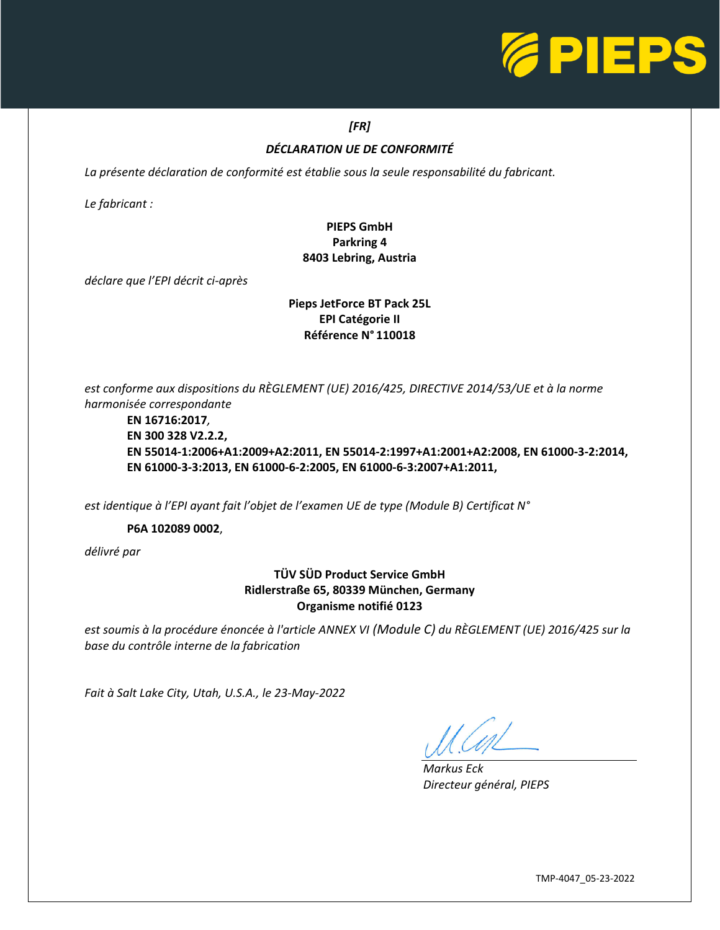

## *[FR]*

## *DÉCLARATION UE DE CONFORMITÉ*

La présente déclaration de conformité est établie sous la seule responsabilité du fabricant.

*Le fabricant :*

## **PIEPS GmbH Parkring 4 8403 Lebring, Austria**

*déclare que l'EPI décrit ci-après*

### **Pieps JetForce BT Pack 25L EPI Catégorie II Référence N° 110018**

*est conforme aux dispositions du RÈGLEMENT (UE) 2016/425, DIRECTIVE 2014/53/UE et à la norme harmonisée correspondante*

**EN 16716:2017***,* **EN 300 328 V2.2.2, EN 55014-1:2006+A1:2009+A2:2011, EN 55014-2:1997+A1:2001+A2:2008, EN 61000-3-2:2014, EN 61000-3-3:2013, EN 61000-6-2:2005, EN 61000-6-3:2007+A1:2011,**

*est identique à l'EPI ayant fait l'objet de l'examen UE de type (Module B) Certificat N°*

**P6A 102089 0002**,

*délivré par*

## **TÜV SÜD Product Service GmbH Ridlerstraße 65, 80339 München, Germany Organisme notifié 0123**

*est soumis à la procédure énoncée à l'article ANNEX VI (Module C) du RÈGLEMENT (UE) 2016/425 sur la base du contrôle interne de la fabrication*

*Fait à Salt Lake City, Utah, U.S.A., le 23-May-2022*

L

*Markus Eck Directeur général, PIEPS*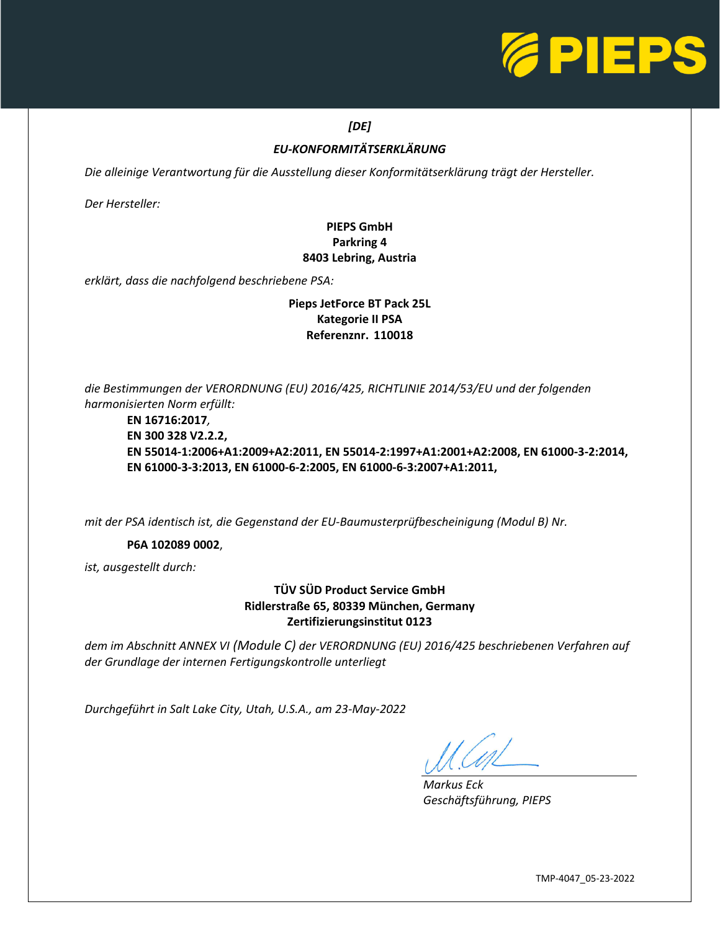

## *[DE]*

## *EU-KONFORMITÄTSERKLÄRUNG*

*Die alleinige Verantwortung für die Ausstellung dieser Konformitätserklärung trägt der Hersteller.* 

*Der Hersteller:*

## **PIEPS GmbH Parkring 4 8403 Lebring, Austria**

*erklärt, dass die nachfolgend beschriebene PSA:*

### **Pieps JetForce BT Pack 25L Kategorie II PSA Referenznr. 110018**

*die Bestimmungen der VERORDNUNG (EU) 2016/425, RICHTLINIE 2014/53/EU und der folgenden harmonisierten Norm erfüllt:*

**EN 16716:2017***,* **EN 300 328 V2.2.2, EN 55014-1:2006+A1:2009+A2:2011, EN 55014-2:1997+A1:2001+A2:2008, EN 61000-3-2:2014, EN 61000-3-3:2013, EN 61000-6-2:2005, EN 61000-6-3:2007+A1:2011,**

*mit der PSA identisch ist, die Gegenstand der EU-Baumusterprüfbescheinigung (Modul B) Nr.*

### **P6A 102089 0002**,

*ist, ausgestellt durch:*

### **TÜV SÜD Product Service GmbH Ridlerstraße 65, 80339 München, Germany Zertifizierungsinstitut 0123**

*dem im Abschnitt ANNEX VI (Module C) der VERORDNUNG (EU) 2016/425 beschriebenen Verfahren auf der Grundlage der internen Fertigungskontrolle unterliegt*

*Durchgeführt in Salt Lake City, Utah, U.S.A., am 23-May-2022*

L

*Markus Eck Geschäftsführung, PIEPS*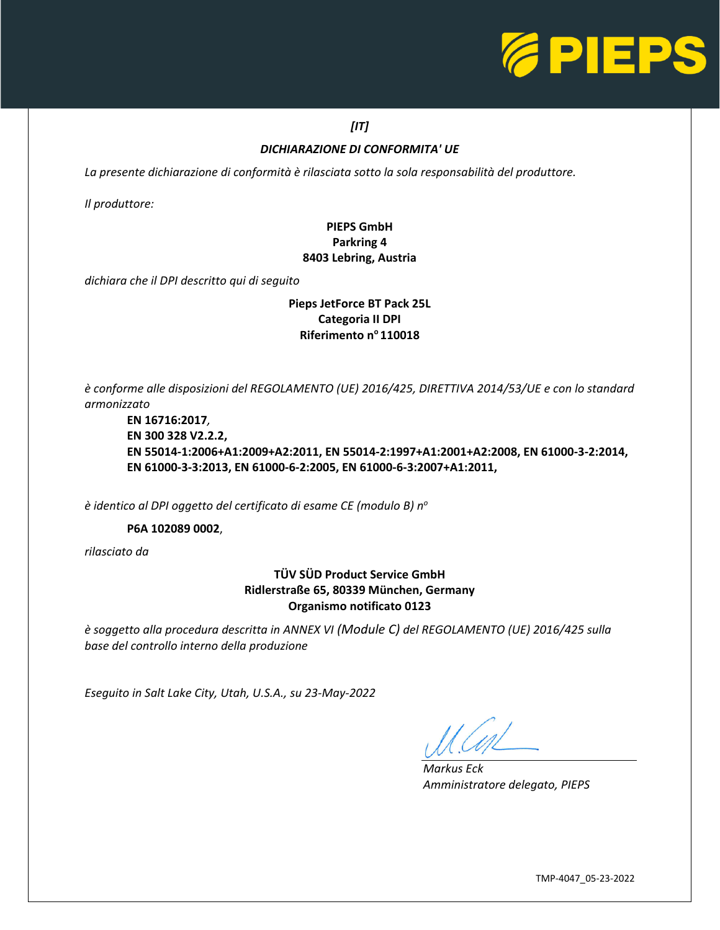

## *[IT]*

### *DICHIARAZIONE DI CONFORMITA' UE*

*La presente dichiarazione di conformità è rilasciata sotto la sola responsabilità del produttore.* 

*Il produttore:*

## **PIEPS GmbH Parkring 4 8403 Lebring, Austria**

*dichiara che il DPI descritto qui di seguito*

### **Pieps JetForce BT Pack 25L Categoria II DPI Riferimento n<sup>o</sup>110018**

*è conforme alle disposizioni del REGOLAMENTO (UE) 2016/425, DIRETTIVA 2014/53/UE e con lo standard armonizzato*

**EN 16716:2017***,* **EN 300 328 V2.2.2, EN 55014-1:2006+A1:2009+A2:2011, EN 55014-2:1997+A1:2001+A2:2008, EN 61000-3-2:2014, EN 61000-3-3:2013, EN 61000-6-2:2005, EN 61000-6-3:2007+A1:2011,**

*è identico al DPI oggetto del certificato di esame CE (modulo B) n<sup>o</sup>*

**P6A 102089 0002**,

*rilasciato da*

## **TÜV SÜD Product Service GmbH Ridlerstraße 65, 80339 München, Germany Organismo notificato 0123**

*è soggetto alla procedura descritta in ANNEX VI (Module C) del REGOLAMENTO (UE) 2016/425 sulla base del controllo interno della produzione*

*Eseguito in Salt Lake City, Utah, U.S.A., su 23-May-2022*

L

*Markus Eck Amministratore delegato, PIEPS*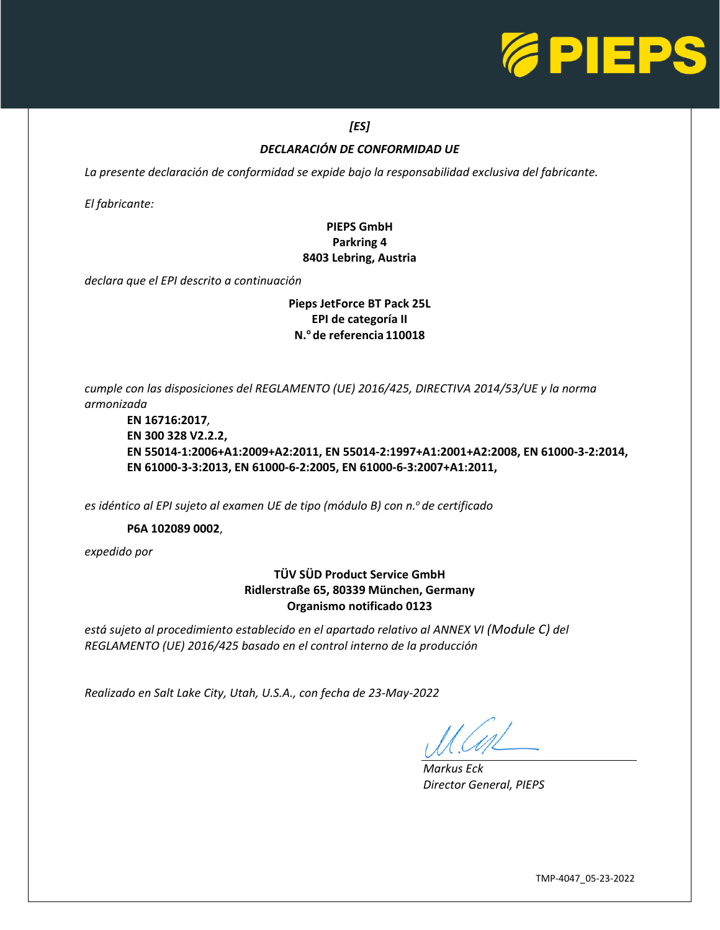

## *[ES]*

### *DECLARACIÓN DE CONFORMIDAD UE*

*La presente declaración de conformidad se expide bajo la responsabilidad exclusiva del fabricante.* 

*El fabricante:*

## **PIEPS GmbH Parkring 4 8403 Lebring, Austria**

*declara que el EPI descrito a continuación*

### **Pieps JetForce BT Pack 25L EPI de categoría II N.<sup>o</sup>de referencia 110018**

*cumple con las disposiciones del REGLAMENTO (UE) 2016/425, DIRECTIVA 2014/53/UE y la norma armonizada*

**EN 16716:2017***,* **EN 300 328 V2.2.2, EN 55014-1:2006+A1:2009+A2:2011, EN 55014-2:1997+A1:2001+A2:2008, EN 61000-3-2:2014, EN 61000-3-3:2013, EN 61000-6-2:2005, EN 61000-6-3:2007+A1:2011,**

*es idéntico al EPI sujeto al examen UE de tipo (módulo B) con n.<sup>o</sup>de certificado*

### **P6A 102089 0002**,

*expedido por*

## **TÜV SÜD Product Service GmbH Ridlerstraße 65, 80339 München, Germany Organismo notificado 0123**

*está sujeto al procedimiento establecido en el apartado relativo al ANNEX VI (Module C) del REGLAMENTO (UE) 2016/425 basado en el control interno de la producción*

*Realizado en Salt Lake City, Utah, U.S.A., con fecha de 23-May-2022*

L

*Markus Eck Director General, PIEPS*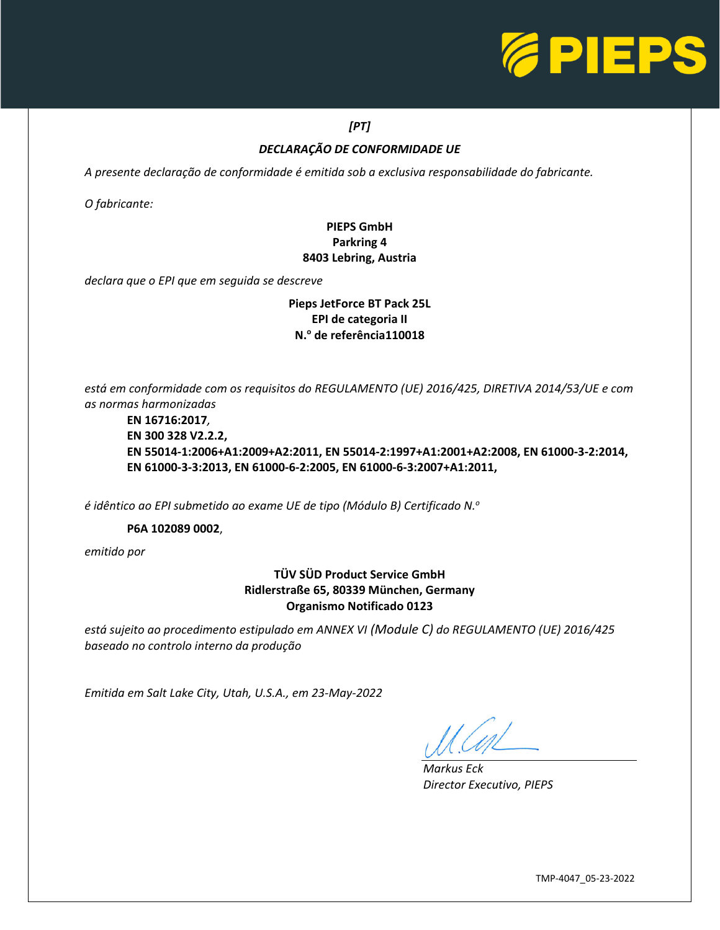

# *[PT]*

# *DECLARAÇÃO DE CONFORMIDADE UE*

*A presente declaração de conformidade é emitida sob a exclusiva responsabilidade do fabricante.* 

*O fabricante:*

## **PIEPS GmbH Parkring 4 8403 Lebring, Austria**

*declara que o EPI que em seguida se descreve*

### **Pieps JetForce BT Pack 25L EPI de categoria II N.<sup>o</sup> de referência110018**

*está em conformidade com os requisitos do REGULAMENTO (UE) 2016/425, DIRETIVA 2014/53/UE e com as normas harmonizadas*

**EN 16716:2017***,* **EN 300 328 V2.2.2, EN 55014-1:2006+A1:2009+A2:2011, EN 55014-2:1997+A1:2001+A2:2008, EN 61000-3-2:2014, EN 61000-3-3:2013, EN 61000-6-2:2005, EN 61000-6-3:2007+A1:2011,**

*é idêntico ao EPI submetido ao exame UE de tipo (Módulo B) Certificado N.<sup>o</sup>*

### **P6A 102089 0002**,

*emitido por*

## **TÜV SÜD Product Service GmbH Ridlerstraße 65, 80339 München, Germany Organismo Notificado 0123**

*está sujeito ao procedimento estipulado em ANNEX VI (Module C) do REGULAMENTO (UE) 2016/425 baseado no controlo interno da produção*

*Emitida em Salt Lake City, Utah, U.S.A., em 23-May-2022*

L

*Markus Eck Director Executivo, PIEPS*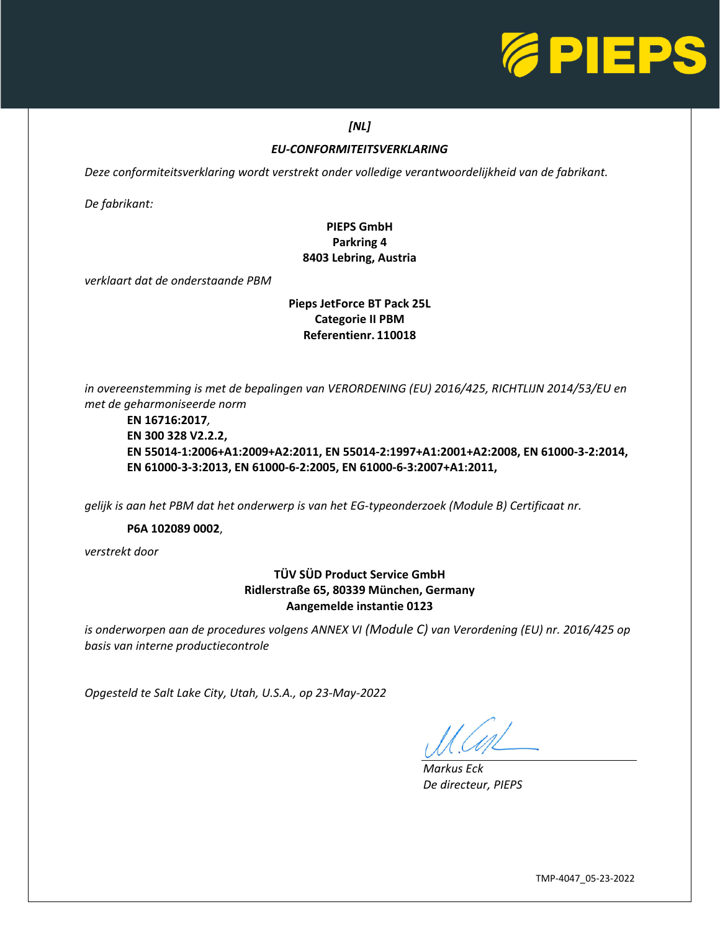

### *[NL]*

## *EU-CONFORMITEITSVERKLARING*

*Deze conformiteitsverklaring wordt verstrekt onder volledige verantwoordelijkheid van de fabrikant.* 

*De fabrikant:*

## **PIEPS GmbH Parkring 4 8403 Lebring, Austria**

*verklaart dat de onderstaande PBM*

### **Pieps JetForce BT Pack 25L Categorie II PBM Referentienr. 110018**

*in overeenstemming is met de bepalingen van VERORDENING (EU) 2016/425, RICHTLIJN 2014/53/EU en met de geharmoniseerde norm*

### **EN 16716:2017***,* **EN 300 328 V2.2.2, EN 55014-1:2006+A1:2009+A2:2011, EN 55014-2:1997+A1:2001+A2:2008, EN 61000-3-2:2014, EN 61000-3-3:2013, EN 61000-6-2:2005, EN 61000-6-3:2007+A1:2011,**

*gelijk is aan het PBM dat het onderwerp is van het EG-typeonderzoek (Module B) Certificaat nr.*

### **P6A 102089 0002**,

*verstrekt door*

## **TÜV SÜD Product Service GmbH Ridlerstraße 65, 80339 München, Germany Aangemelde instantie 0123**

*is onderworpen aan de procedures volgens ANNEX VI (Module C) van Verordening (EU) nr. 2016/425 op basis van interne productiecontrole*

*Opgesteld te Salt Lake City, Utah, U.S.A., op 23-May-2022*

L

*Markus Eck De directeur, PIEPS*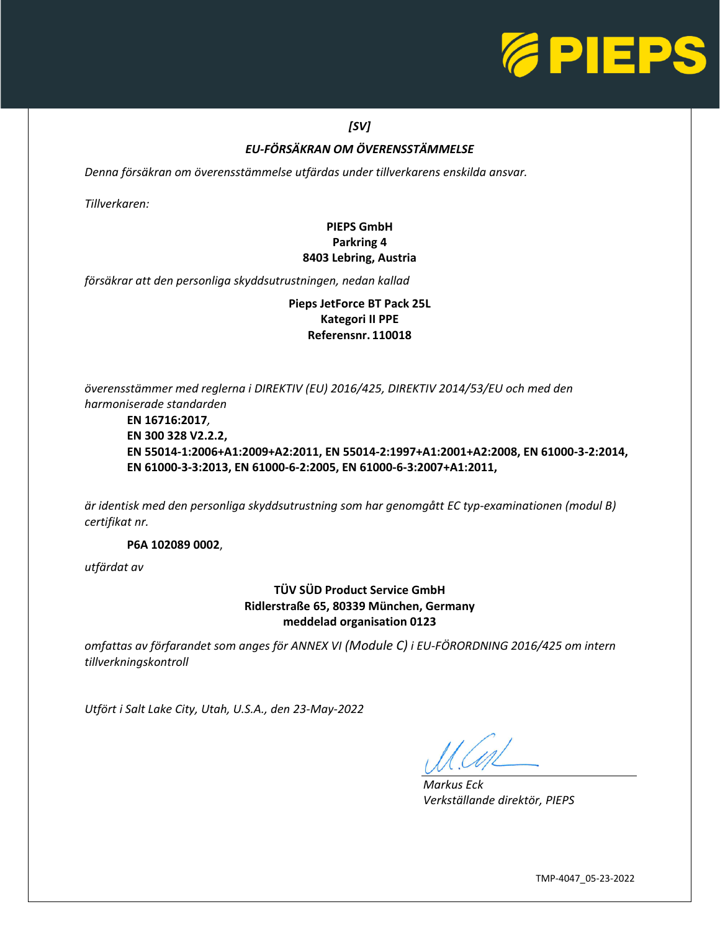

## *[SV]*

## *EU-FÖRSÄKRAN OM ÖVERENSSTÄMMELSE*

*Denna försäkran om överensstämmelse utfärdas under tillverkarens enskilda ansvar.* 

*Tillverkaren:*

## **PIEPS GmbH Parkring 4 8403 Lebring, Austria**

*försäkrar att den personliga skyddsutrustningen, nedan kallad*

**Pieps JetForce BT Pack 25L Kategori II PPE Referensnr. 110018**

*överensstämmer med reglerna i DIREKTIV (EU) 2016/425, DIREKTIV 2014/53/EU och med den harmoniserade standarden*

**EN 16716:2017***,* **EN 300 328 V2.2.2, EN 55014-1:2006+A1:2009+A2:2011, EN 55014-2:1997+A1:2001+A2:2008, EN 61000-3-2:2014, EN 61000-3-3:2013, EN 61000-6-2:2005, EN 61000-6-3:2007+A1:2011,**

*är identisk med den personliga skyddsutrustning som har genomgått EC typ-examinationen (modul B) certifikat nr.*

**P6A 102089 0002**,

*utfärdat av*

**TÜV SÜD Product Service GmbH Ridlerstraße 65, 80339 München, Germany meddelad organisation 0123**

*omfattas av förfarandet som anges för ANNEX VI (Module C) i EU-FÖRORDNING 2016/425 om intern tillverkningskontroll*

*Utfört i Salt Lake City, Utah, U.S.A., den 23-May-2022*

L

*Markus Eck Verkställande direktör, PIEPS*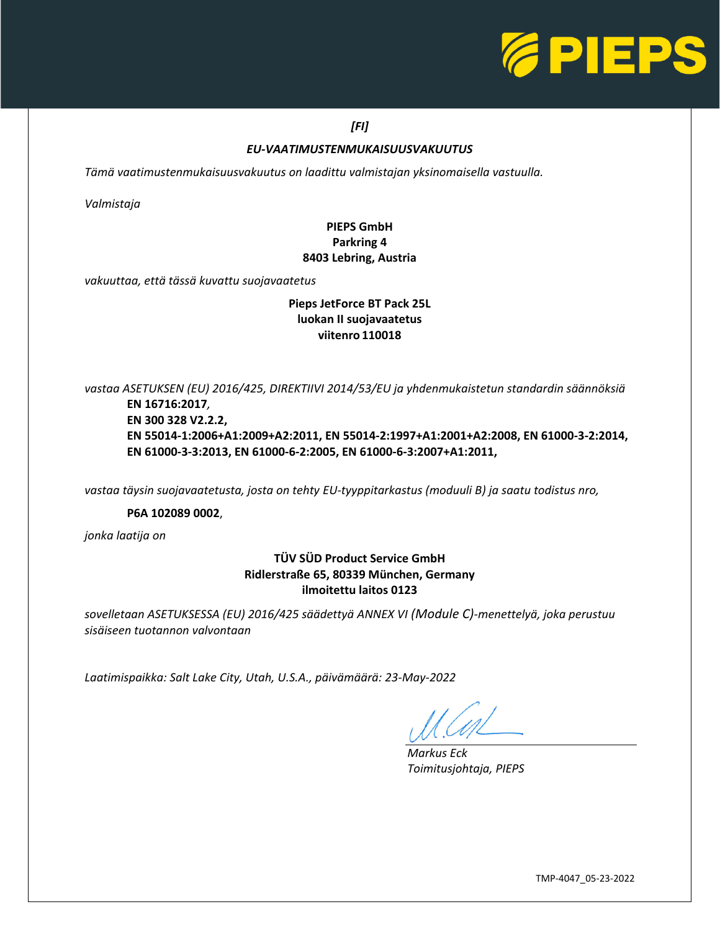

### *[FI]*

### *EU-VAATIMUSTENMUKAISUUSVAKUUTUS*

*Tämä vaatimustenmukaisuusvakuutus on laadittu valmistajan yksinomaisella vastuulla.* 

*Valmistaja*

## **PIEPS GmbH Parkring 4 8403 Lebring, Austria**

*vakuuttaa, että tässä kuvattu suojavaatetus*

### **Pieps JetForce BT Pack 25L luokan II suojavaatetus viitenro 110018**

*vastaa ASETUKSEN (EU) 2016/425, DIREKTIIVI 2014/53/EU ja yhdenmukaistetun standardin säännöksiä*

**EN 16716:2017***,* **EN 300 328 V2.2.2, EN 55014-1:2006+A1:2009+A2:2011, EN 55014-2:1997+A1:2001+A2:2008, EN 61000-3-2:2014, EN 61000-3-3:2013, EN 61000-6-2:2005, EN 61000-6-3:2007+A1:2011,**

*vastaa täysin suojavaatetusta, josta on tehty EU-tyyppitarkastus (moduuli B) ja saatu todistus nro,*

### **P6A 102089 0002**,

*jonka laatija on*

### **TÜV SÜD Product Service GmbH Ridlerstraße 65, 80339 München, Germany ilmoitettu laitos 0123**

*sovelletaan ASETUKSESSA (EU) 2016/425 säädettyä ANNEX VI (Module C)-menettelyä, joka perustuu sisäiseen tuotannon valvontaan*

*Laatimispaikka: Salt Lake City, Utah, U.S.A., päivämäärä: 23-May-2022*

 $\overline{\phantom{0}}$ 

*Markus Eck Toimitusjohtaja, PIEPS*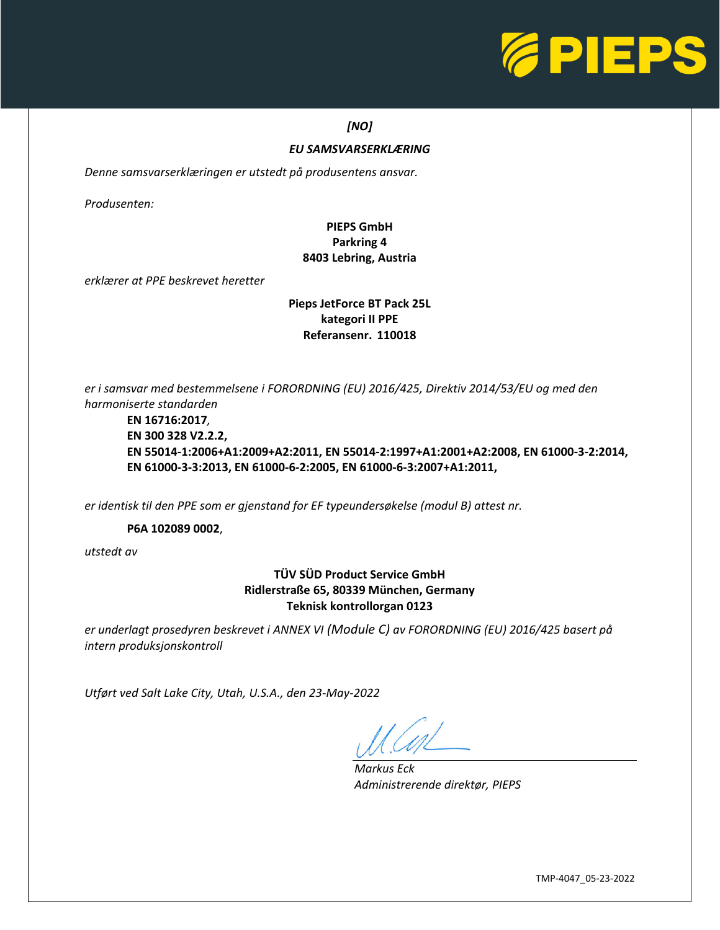

### *[NO]*

### *EU SAMSVARSERKLÆRING*

*Denne samsvarserklæringen er utstedt på produsentens ansvar.* 

*Produsenten:*

## **PIEPS GmbH Parkring 4 8403 Lebring, Austria**

*erklærer at PPE beskrevet heretter*

### **Pieps JetForce BT Pack 25L kategori II PPE Referansenr. 110018**

*er i samsvar med bestemmelsene i FORORDNING (EU) 2016/425, Direktiv 2014/53/EU og med den harmoniserte standarden*

**EN 16716:2017***,* **EN 300 328 V2.2.2, EN 55014-1:2006+A1:2009+A2:2011, EN 55014-2:1997+A1:2001+A2:2008, EN 61000-3-2:2014, EN 61000-3-3:2013, EN 61000-6-2:2005, EN 61000-6-3:2007+A1:2011,**

*er identisk til den PPE som er gjenstand for EF typeundersøkelse (modul B) attest nr.*

**P6A 102089 0002**,

*utstedt av*

**TÜV SÜD Product Service GmbH Ridlerstraße 65, 80339 München, Germany Teknisk kontrollorgan 0123**

*er underlagt prosedyren beskrevet i ANNEX VI (Module C) av FORORDNING (EU) 2016/425 basert på intern produksjonskontroll*

*Utført ved Salt Lake City, Utah, U.S.A., den 23-May-2022*

L

*Markus Eck Administrerende direktør, PIEPS*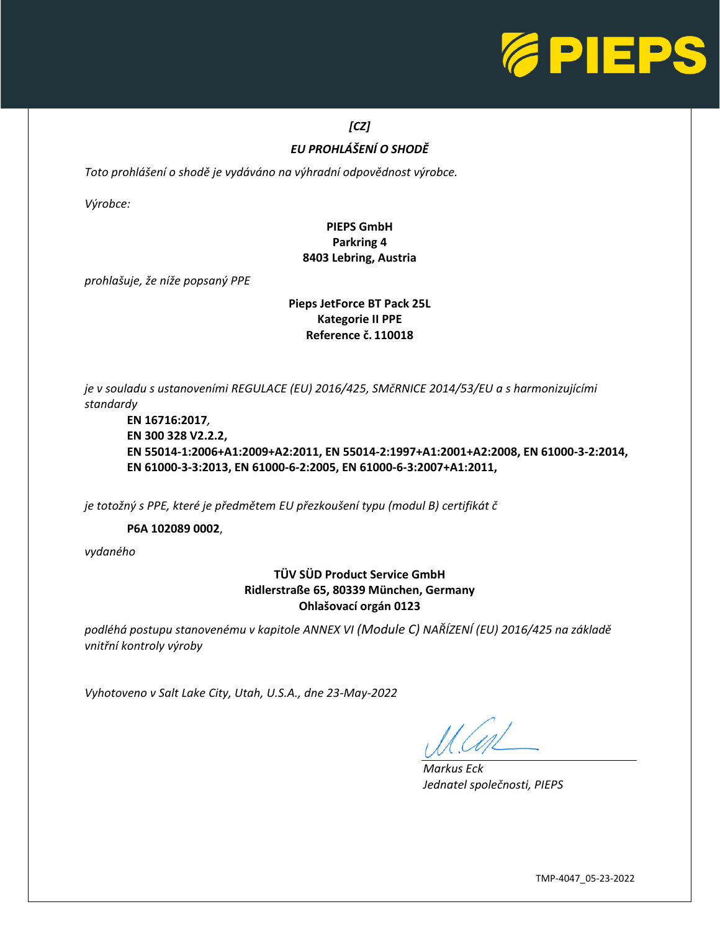

# *[CZ]*

# *EU PROHLÁŠENÍ O SHODĚ*

*Toto prohlášení o shodě je vydáváno na výhradní odpovědnost výrobce.* 

*Výrobce:*

## **PIEPS GmbH Parkring 4 8403 Lebring, Austria**

*prohlašuje, že níže popsaný PPE*

### **Pieps JetForce BT Pack 25L Kategorie II PPE Reference č. 110018**

*je v souladu s ustanoveními REGULACE (EU) 2016/425, SMčRNICE 2014/53/EU a s harmonizujícími standardy*

**EN 16716:2017***,* **EN 300 328 V2.2.2, EN 55014-1:2006+A1:2009+A2:2011, EN 55014-2:1997+A1:2001+A2:2008, EN 61000-3-2:2014, EN 61000-3-3:2013, EN 61000-6-2:2005, EN 61000-6-3:2007+A1:2011,**

*je totožný s PPE, které je předmětem EU přezkoušení typu (modul B) certifikát č*

**P6A 102089 0002**,

*vydaného*

## **TÜV SÜD Product Service GmbH Ridlerstraße 65, 80339 München, Germany Ohlašovací orgán 0123**

*podléhá postupu stanovenému v kapitole ANNEX VI (Module C) NAŘÍZENÍ (EU) 2016/425 na základě vnitřní kontroly výroby*

*Vyhotoveno v Salt Lake City, Utah, U.S.A., dne 23-May-2022*

L

*Markus Eck Jednatel společnosti, PIEPS*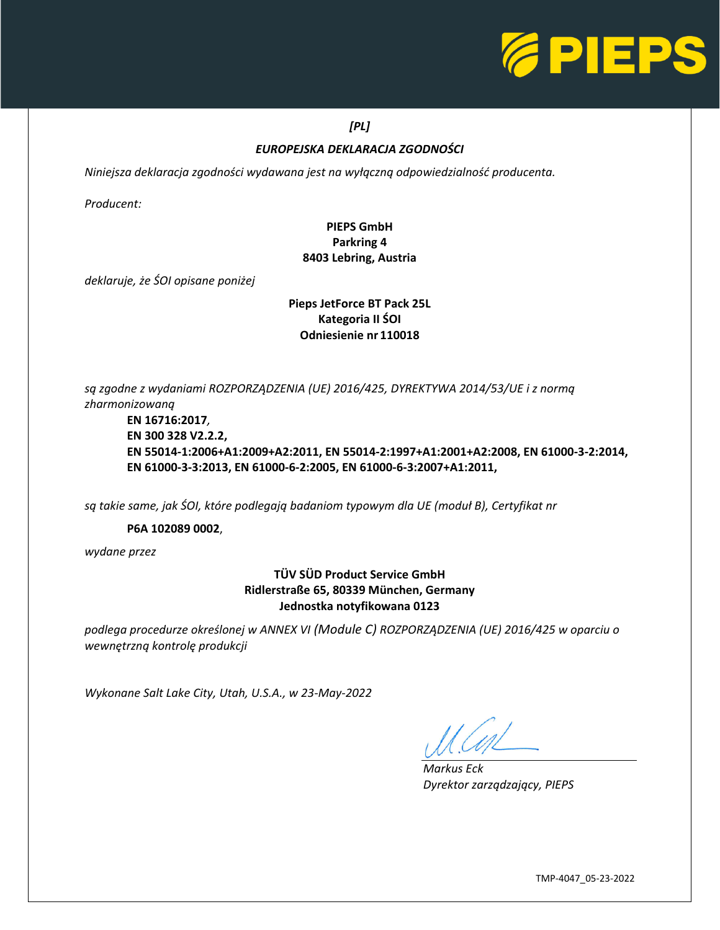

## *[PL]*

## *EUROPEJSKA DEKLARACJA ZGODNOŚCI*

*Niniejsza deklaracja zgodności wydawana jest na wyłączną odpowiedzialność producenta.* 

*Producent:*

## **PIEPS GmbH Parkring 4 8403 Lebring, Austria**

*deklaruje, że ŚOI opisane poniżej*

### **Pieps JetForce BT Pack 25L Kategoria II ŚOI Odniesienie nr 110018**

*są zgodne z wydaniami ROZPORZĄDZENIA (UE) 2016/425, DYREKTYWA 2014/53/UE i z normą zharmonizowaną*

**EN 16716:2017***,* **EN 300 328 V2.2.2, EN 55014-1:2006+A1:2009+A2:2011, EN 55014-2:1997+A1:2001+A2:2008, EN 61000-3-2:2014, EN 61000-3-3:2013, EN 61000-6-2:2005, EN 61000-6-3:2007+A1:2011,**

*są takie same, jak ŚOI, które podlegają badaniom typowym dla UE (moduł B), Certyfikat nr*

**P6A 102089 0002**,

*wydane przez*

## **TÜV SÜD Product Service GmbH Ridlerstraße 65, 80339 München, Germany Jednostka notyfikowana 0123**

*podlega procedurze określonej w ANNEX VI (Module C) ROZPORZĄDZENIA (UE) 2016/425 w oparciu o wewnętrzną kontrolę produkcji*

*Wykonane Salt Lake City, Utah, U.S.A., w 23-May-2022*

L

*Markus Eck Dyrektor zarządzający, PIEPS*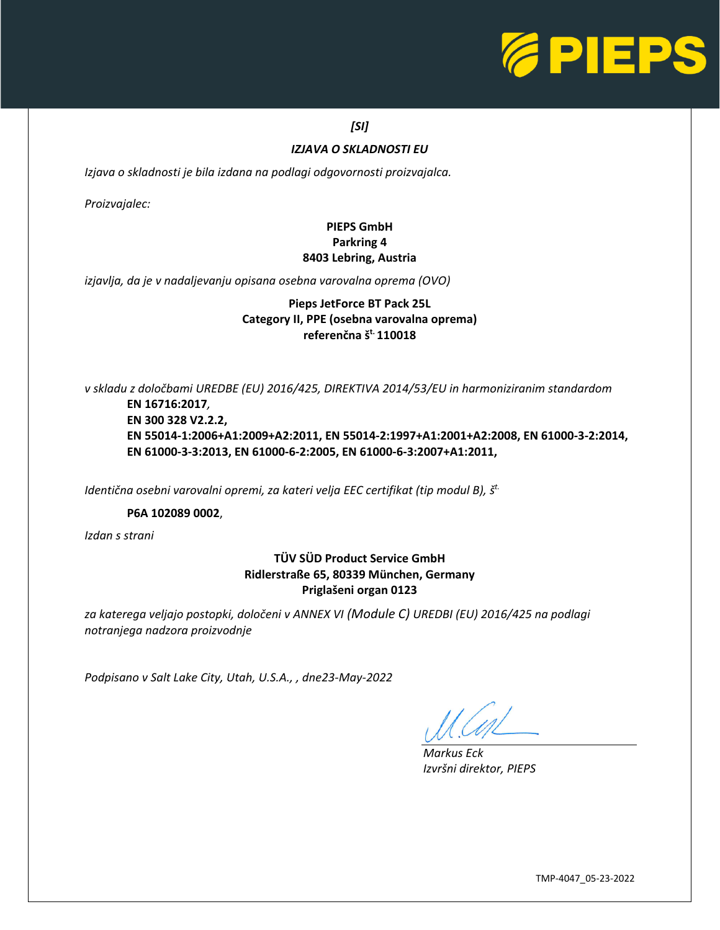

## *[SI]*

### *IZJAVA O SKLADNOSTI EU*

*Izjava o skladnosti je bila izdana na podlagi odgovornosti proizvajalca.* 

*Proizvajalec:*

## **PIEPS GmbH Parkring 4 8403 Lebring, Austria**

*izjavlja, da je v nadaljevanju opisana osebna varovalna oprema (OVO)*

### **Pieps JetForce BT Pack 25L Category II, PPE (osebna varovalna oprema) referenčna št. 110018**

*v skladu z določbami UREDBE (EU) 2016/425, DIREKTIVA 2014/53/EU in harmoniziranim standardom*

**EN 16716:2017***,* **EN 300 328 V2.2.2, EN 55014-1:2006+A1:2009+A2:2011, EN 55014-2:1997+A1:2001+A2:2008, EN 61000-3-2:2014, EN 61000-3-3:2013, EN 61000-6-2:2005, EN 61000-6-3:2007+A1:2011,**

*Identična osebni varovalni opremi, za kateri velja EEC certifikat (tip modul B), š t.*

### **P6A 102089 0002**,

*Izdan s strani*

## **TÜV SÜD Product Service GmbH Ridlerstraße 65, 80339 München, Germany Priglašeni organ 0123**

*za katerega veljajo postopki, določeni v ANNEX VI (Module C) UREDBI (EU) 2016/425 na podlagi notranjega nadzora proizvodnje*

*Podpisano v Salt Lake City, Utah, U.S.A., , dne23-May-2022*

 $\overline{\phantom{0}}$ 

*Markus Eck Izvršni direktor, PIEPS*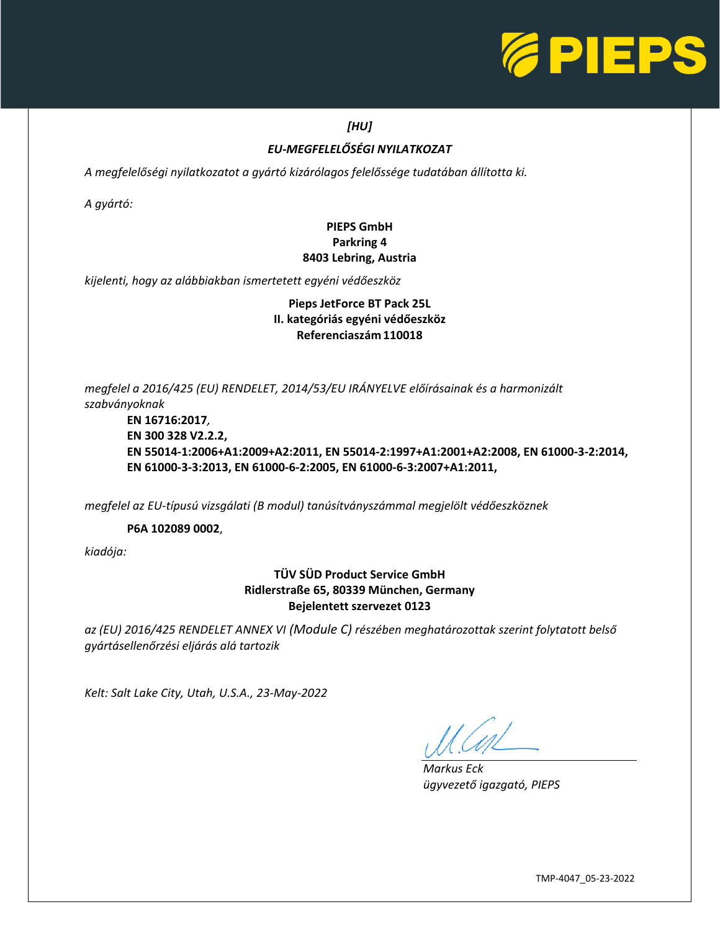

## *[HU]*

# *EU-MEGFELELŐSÉGI NYILATKOZAT*

*A megfelelőségi nyilatkozatot a gyártó kizárólagos felelőssége tudatában állította ki.* 

*A gyártó:*

## **PIEPS GmbH Parkring 4 8403 Lebring, Austria**

*kijelenti, hogy az alábbiakban ismertetett egyéni védőeszköz*

## **Pieps JetForce BT Pack 25L II. kategóriás egyéni védőeszköz Referenciaszám 110018**

*megfelel a 2016/425 (EU) RENDELET, 2014/53/EU IRÁNYELVE előírásainak és a harmonizált szabványoknak*

**EN 16716:2017***,* **EN 300 328 V2.2.2, EN 55014-1:2006+A1:2009+A2:2011, EN 55014-2:1997+A1:2001+A2:2008, EN 61000-3-2:2014, EN 61000-3-3:2013, EN 61000-6-2:2005, EN 61000-6-3:2007+A1:2011,**

*megfelel az EU-típusú vizsgálati (B modul) tanúsítványszámmal megjelölt védőeszköznek*

**P6A 102089 0002**,

*kiadója:*

## **TÜV SÜD Product Service GmbH Ridlerstraße 65, 80339 München, Germany Bejelentett szervezet 0123**

*az (EU) 2016/425 RENDELET ANNEX VI (Module C) részében meghatározottak szerint folytatott belső gyártásellenőrzési eljárás alá tartozik*

*Kelt: Salt Lake City, Utah, U.S.A., 23-May-2022*

L

*Markus Eck ügyvezető igazgató, PIEPS*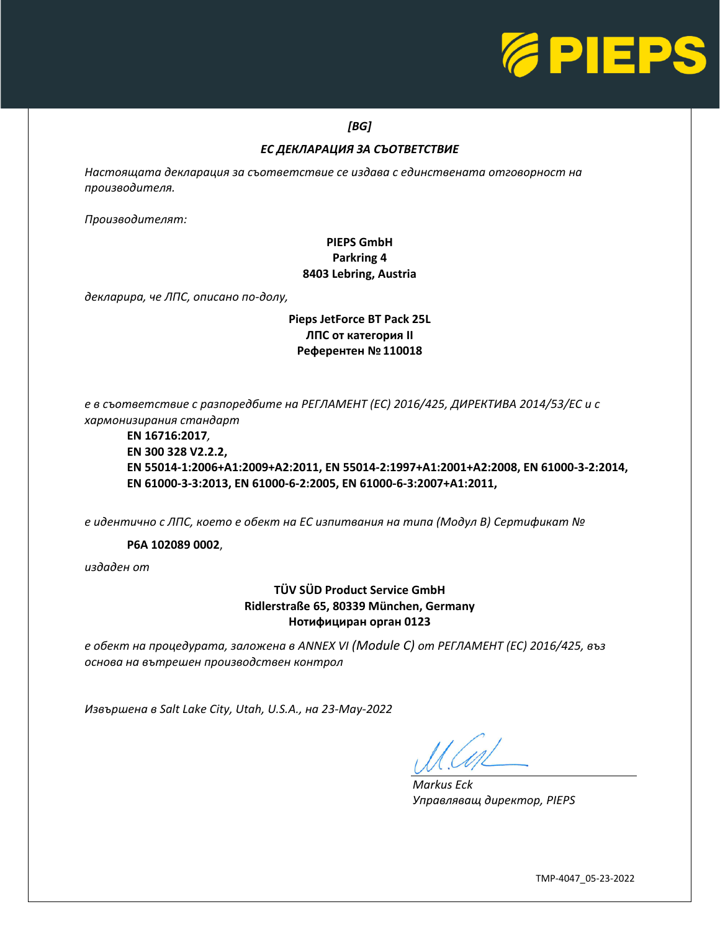

### *[BG]*

## *ЕС ДЕКЛАРАЦИЯ ЗА СЪОТВЕТСТВИЕ*

*Настоящата декларация за съответствие се издава с единствената отговорност на производителя.* 

*Производителят:*

## **PIEPS GmbH Parkring 4 8403 Lebring, Austria**

*декларира, че ЛПС, описано по-долу,*

## **Pieps JetForce BT Pack 25L ЛПС от категория II Референтен №110018**

*е в съответствие с разпоредбите на РЕГЛАМЕНТ (ЕС) 2016/425, ДИРЕКТИВА 2014/53/ЕС и с хармонизирания стандарт*

**EN 16716:2017***,* **EN 300 328 V2.2.2, EN 55014-1:2006+A1:2009+A2:2011, EN 55014-2:1997+A1:2001+A2:2008, EN 61000-3-2:2014, EN 61000-3-3:2013, EN 61000-6-2:2005, EN 61000-6-3:2007+A1:2011,**

*е идентично с ЛПС, което е обект на ЕС изпитвания на типа (Модул B) Сертификат №*

**P6A 102089 0002**,

*издаден от*

## **TÜV SÜD Product Service GmbH Ridlerstraße 65, 80339 München, Germany Нотифициран орган 0123**

*е обект на процедурата, заложена в ANNEX VI (Module C) от РЕГЛАМЕНТ (ЕС) 2016/425, въз основа на вътрешен производствен контрол*

*Извършена в Salt Lake City, Utah, U.S.A., на 23-May-2022*

L

*Markus Eck Управляващ директор, PIEPS*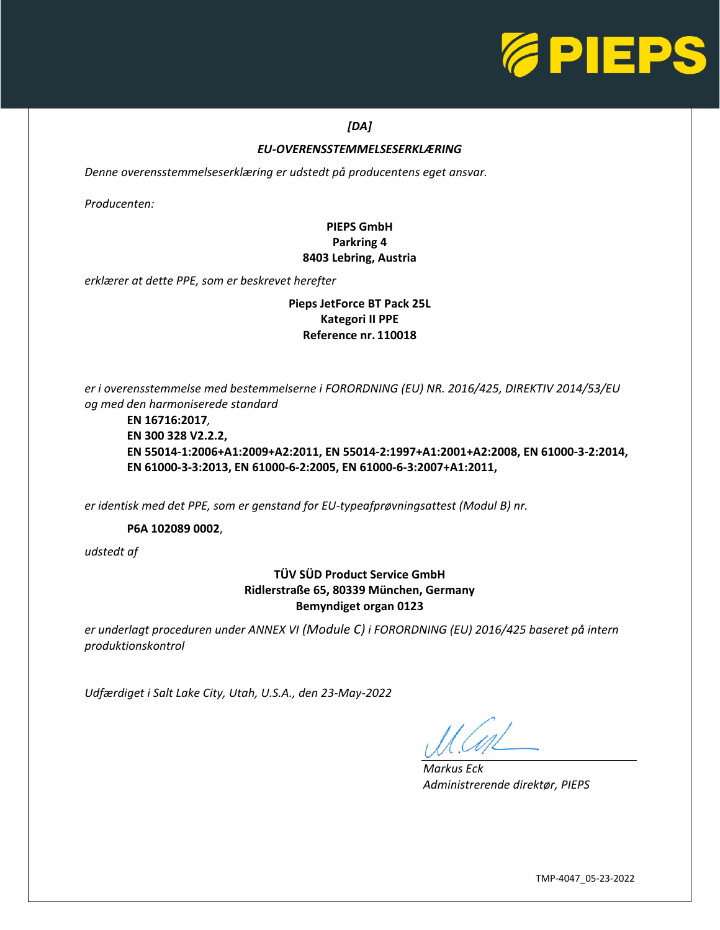

## *[DA]*

### *EU-OVERENSSTEMMELSESERKLÆRING*

*Denne overensstemmelseserklæring er udstedt på producentens eget ansvar.* 

*Producenten:*

## **PIEPS GmbH Parkring 4 8403 Lebring, Austria**

*erklærer at dette PPE, som er beskrevet herefter*

### **Pieps JetForce BT Pack 25L Kategori II PPE Reference nr. 110018**

*er i overensstemmelse med bestemmelserne i FORORDNING (EU) NR. 2016/425, DIREKTIV 2014/53/EU og med den harmoniserede standard*

### **EN 16716:2017***,* **EN 300 328 V2.2.2, EN 55014-1:2006+A1:2009+A2:2011, EN 55014-2:1997+A1:2001+A2:2008, EN 61000-3-2:2014, EN 61000-3-3:2013, EN 61000-6-2:2005, EN 61000-6-3:2007+A1:2011,**

*er identisk med det PPE, som er genstand for EU-typeafprøvningsattest (Modul B) nr.*

**P6A 102089 0002**,

*udstedt af*

### **TÜV SÜD Product Service GmbH Ridlerstraße 65, 80339 München, Germany Bemyndiget organ 0123**

*er underlagt proceduren under ANNEX VI (Module C) i FORORDNING (EU) 2016/425 baseret på intern produktionskontrol*

*Udfærdiget i Salt Lake City, Utah, U.S.A., den 23-May-2022*

L

*Markus Eck Administrerende direktør, PIEPS*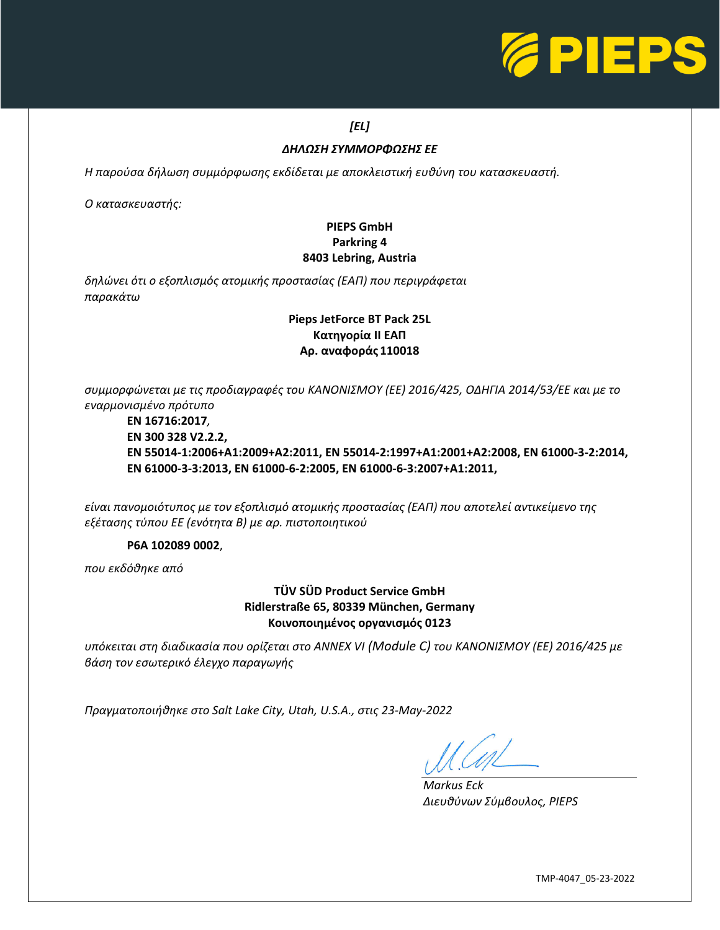

# *[EL]*

### *ΔΗΛΩΣΗ ΣΥΜΜΟΡΦΩΣΗΣ ΕΕ*

*Η παρούσα δήλωση συμμόρφωσης εκδίδεται με αποκλειστική ευθύνη του κατασκευαστή.* 

*Ο κατασκευαστής:*

## **PIEPS GmbH Parkring 4 8403 Lebring, Austria**

*δηλώνει ότι ο εξοπλισμός ατομικής προστασίας (ΕΑΠ) που περιγράφεται παρακάτω*

## **Pieps JetForce BT Pack 25L Κατηγορία II ΕΑΠ Αρ. αναφοράς 110018**

*συμμορφώνεται με τις προδιαγραφές του ΚΑΝΟΝΙΣΜΟΥ (ΕΕ) 2016/425, ΟΔΗΓΙΑ 2014/53/ΕΕ και με το εναρμονισμένο πρότυπο*

**EN 16716:2017***,* **EN 300 328 V2.2.2, EN 55014-1:2006+A1:2009+A2:2011, EN 55014-2:1997+A1:2001+A2:2008, EN 61000-3-2:2014, EN 61000-3-3:2013, EN 61000-6-2:2005, EN 61000-6-3:2007+A1:2011,**

*είναι πανομοιότυπος με τον εξοπλισμό ατομικής προστασίας (ΕΑΠ) που αποτελεί αντικείμενο της εξέτασης τύπου EΕ (ενότητα B) με αρ. πιστοποιητικού*

### **P6A 102089 0002**,

*που εκδόθηκε από*

### **TÜV SÜD Product Service GmbH Ridlerstraße 65, 80339 München, Germany Κοινοποιημένος οργανισμός 0123**

*υπόκειται στη διαδικασία που ορίζεται στο ANNEX VI (Module C) του ΚΑΝΟΝΙΣΜΟΥ (EΕ) 2016/425 με βάση τον εσωτερικό έλεγχο παραγωγής*

*Πραγματοποιήθηκε στο Salt Lake City, Utah, U.S.A., στις 23-May-2022*

L

*Markus Eck Διευθύνων Σύμβουλος, PIEPS*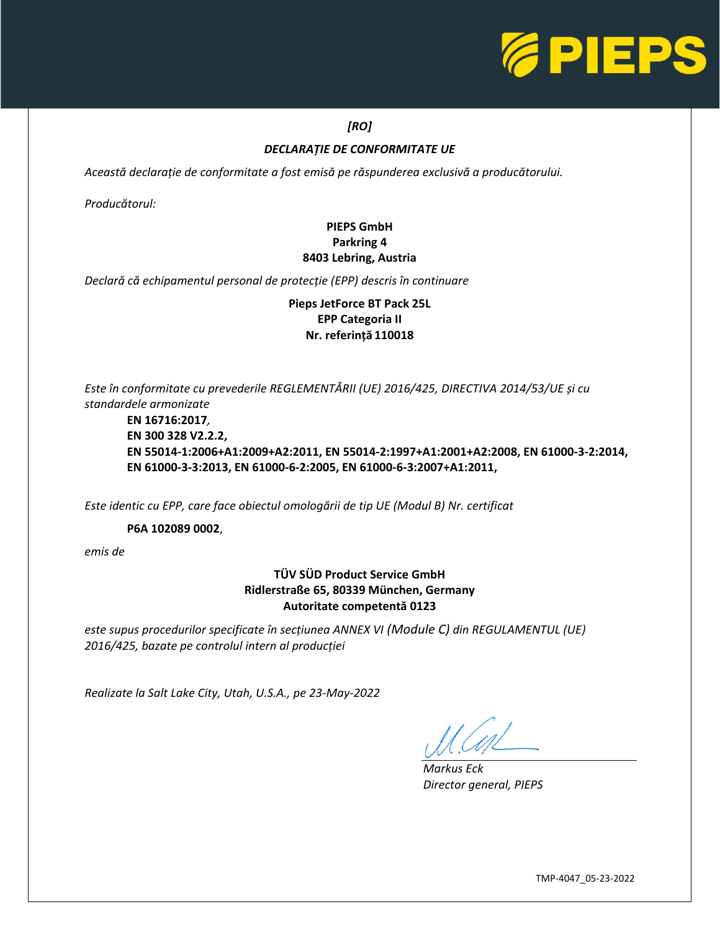

## *[RO]*

### *DECLARAȚIE DE CONFORMITATE UE*

*Această declarație de conformitate a fost emisă pe răspunderea exclusivă a producătorului.* 

*Producătorul:*

## **PIEPS GmbH Parkring 4 8403 Lebring, Austria**

*Declară că echipamentul personal de protecție (EPP) descris în continuare*

**Pieps JetForce BT Pack 25L EPP Categoria II Nr. referință 110018**

*Este în conformitate cu prevederile REGLEMENTĂRII (UE) 2016/425, DIRECTIVA 2014/53/UE și cu standardele armonizate*

**EN 16716:2017***,* **EN 300 328 V2.2.2, EN 55014-1:2006+A1:2009+A2:2011, EN 55014-2:1997+A1:2001+A2:2008, EN 61000-3-2:2014, EN 61000-3-3:2013, EN 61000-6-2:2005, EN 61000-6-3:2007+A1:2011,**

*Este identic cu EPP, care face obiectul omologării de tip UE (Modul B) Nr. certificat*

**P6A 102089 0002**,

*emis de*

## **TÜV SÜD Product Service GmbH Ridlerstraße 65, 80339 München, Germany Autoritate competentă 0123**

*este supus procedurilor specificate în secțiunea ANNEX VI (Module C) din REGULAMENTUL (UE) 2016/425, bazate pe controlul intern al producției*

*Realizate la Salt Lake City, Utah, U.S.A., pe 23-May-2022*

*Markus Eck Director general, PIEPS*

L